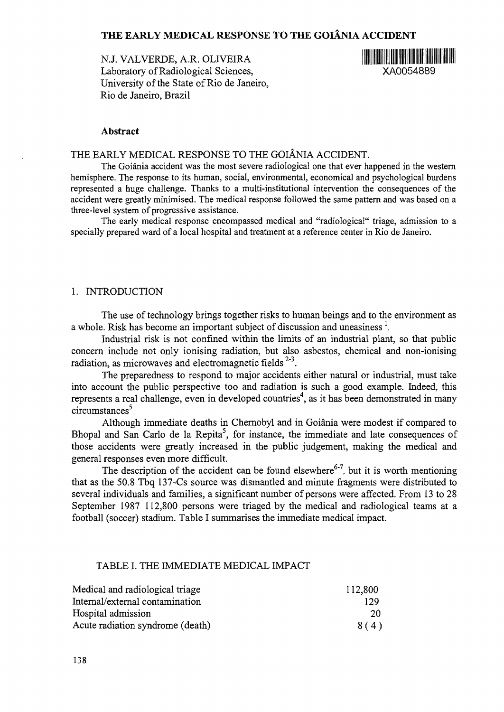# **THE EARLY MEDICAL RESPONSE TO THE GOIANIA ACCIDENT**

N.J. VALVERDE, A.R. OLIVEIRA Laboratory of Radiological Sciences, XA0054889 University of the State of Rio de Janeiro, Rio de Janeiro, Brazil



#### **Abstract**

# THE EARLY MEDICAL RESPONSE TO THE GOIANIA ACCIDENT.

The Goiania accident was the most severe radiological one that ever happened in the western hemisphere. The response to its human, social, environmental, economical and psychological burdens represented a huge challenge. Thanks to a multi-institutional intervention the consequences of the accident were greatly minimised. The medical response followed the same pattern and was based on a three-level system of progressive assistance.

The early medical response encompassed medical and "radiological" triage, admission to a specially prepared ward of a local hospital and treatment at a reference center in Rio de Janeiro.

### 1. INTRODUCTION

The use of technology brings together risks to human beings and to the environment as a whole. Risk has become an important subject of discussion and uneasiness  $\frac{1}{2}$ .

Industrial risk is not confined within the limits of an industrial plant, so that public concern include not only ionising radiation, but also asbestos, chemical and non-ionising radiation, as microwaves and electromagnetic fields  $2-3$ .

The preparedness to respond to major accidents either natural or industrial, must take into account the public perspective too and radiation is such a good example. Indeed, this represents a real challenge, even in developed countries<sup>4</sup>, as it has been demonstrated in many circumstances<sup>5</sup>

Although immediate deaths in Chernobyl and in Goiania were modest if compared to Bhopal and San Carlo de la Repita<sup>5</sup>, for instance, the immediate and late consequences of those accidents were greatly increased in the public judgement, making the medical and general responses even more difficult.

The description of the accident can be found elsewhere<sup>6-7</sup>, but it is worth mentioning that as the 50.8 Tbq 137-Cs source was dismantled and minute fragments were distributed to several individuals and families, a significant number of persons were affected. From 13 to 28 September 1987 112,800 persons were triaged by the medical and radiological teams at a football (soccer) stadium. Table I summarises the immediate medical impact.

### TABLE I. THE IMMEDIATE MEDICAL IMPACT

| Medical and radiological triage  | 112,800 |
|----------------------------------|---------|
| Internal/external contamination  | 129     |
| Hospital admission               | 20      |
| Acute radiation syndrome (death) | 8(4)    |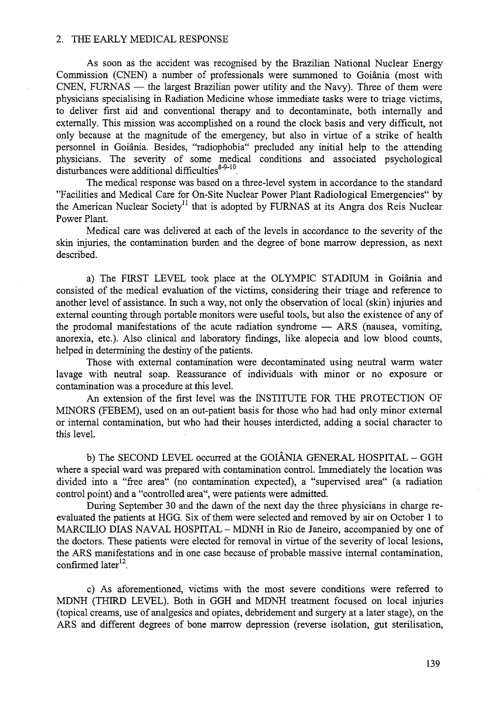#### 2. THE EARLY MEDICAL RESPONSE

As soon as the accident was recognised by the Brazilian National Nuclear Energy Commission (CNEN) a number of professionals were summoned to Goiania (most with CNEN, FURNAS — the largest Brazilian power utility and the Navy). Three of them were physicians specialising in Radiation Medicine whose immediate tasks were to triage victims, to deliver first aid and conventional therapy and to decontaminate, both internally and externally. This mission was accomplished on a round the clock basis and very difficult, not only because at the magnitude of the emergency, but also in virtue of a strike of health personnel in Goiania. Besides, "radiophobia" precluded any initial help to the attending physicians. The severity of some medical conditions and associated psychological  $\det$  disturbances were additional difficulties<sup>8-9-10</sup>.

The medical response was based on a three-level system in accordance to the standard "Facilities and Medical Care for On-Site Nuclear Power Plant Radiological Emergencies" by the American Nuclear Society<sup>11</sup> that is adopted by FURNAS at its Angra dos Reis Nuclear Power Plant.

Medical care was delivered at each of the levels in accordance to the severity of the skin injuries, the contamination burden and the degree of bone marrow depression, as next described.

a) The FIRST LEVEL took place at the OLYMPIC STADIUM in Goiania and consisted of the medical evaluation of the victims, considering their triage and reference to another level of assistance. In such a way, not only the observation of local (skin) injuries and external counting through portable monitors were useful tools, but also the existence of any of the prodomal manifestations of the acute radiation syndrome — ARS (nausea, vomiting, anorexia, etc.). Also clinical and laboratory findings, like alopecia and low blood counts, helped in determining the destiny of the patients.

Those with external contamination were decontaminated using neutral warm water lavage with neutral soap. Reassurance of individuals with minor or no exposure or contamination was a procedure at this level.

An extension of the first level was the INSTITUTE FOR THE PROTECTION OF MINORS (FEBEM), used on an out-patient basis for those who had had only minor external or internal contamination, but who had their houses interdicted, adding a social character to this level.

b) The SECOND LEVEL occurred at the GOIÂNIA GENERAL HOSPITAL - GGH where a special ward was prepared with contamination control. Immediately the location was divided into a "free area" (no contamination expected), a "supervised area" (a radiation control point) and a "controlled area", were patients were admitted.

During September 30 and the dawn of the next day the three physicians in charge reevaluated the patients at HGG. Six of them were selected and removed by air on October 1 to MARCILIO DIAS NAVAL HOSPITAL - MDNH in Rio de Janeiro, accompanied by one of the doctors. These patients were elected for removal in virtue of the severity of local lesions, the ARS manifestations and in one case because of probable massive internal contamination, confirmed later<sup>12</sup>.

c) As aforementioned, victims with the most severe conditions were referred to MDNH (THIRD LEVEL). Both in GGH and MDNH treatment focused on local injuries (topical creams, use of analgesics and opiates, debridement and surgery at a later stage), on the ARS and different degrees of bone marrow depression (reverse isolation, gut sterilisation,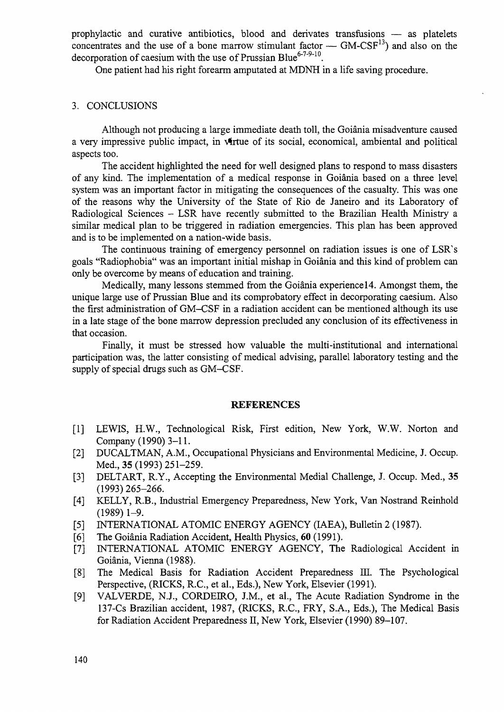prophylactic and curative antibiotics, blood and derivates transfusions — as platelets concentrates and the use of a bone marrow stimulant factor —  $GM-CSF^{13}$  and also on the decorporation of caesium with the use of Prussian Blue<sup>6-7-9-10</sup>.

One patient had his right forearm amputated at MDNH in a life saving procedure.

# 3. CONCLUSIONS

Although not producing a large immediate death toll, the Goiania misadventure caused a very impressive public impact, in virtue of its social, economical, ambiental and political aspects too.

The accident highlighted the need for well designed plans to respond to mass disasters of any kind. The implementation of a medical response in Goiania based on a three level system was an important factor in mitigating the consequences of the casualty. This was one of the reasons why the University of the State of Rio de Janeiro and its Laboratory of Radiological Sciences - LSR have recently submitted to the Brazilian Health Ministry a similar medical plan to be triggered in radiation emergencies. This plan has been approved and is to be implemented on a nation-wide basis.

The continuous training of emergency personnel on radiation issues is one of LSR's goals "Radiophobia" was an important initial mishap in Goiania and this kind of problem can only be overcome by means of education and training.

Medically, many lessons stemmed from the Goiânia experience 14. Amongst them, the unique large use of Prussian Blue and its comprobatory effect in decorporating caesium. Also the first administration of GM-CSF in a radiation accident can be mentioned although its use in a late stage of the bone marrow depression precluded any conclusion of its effectiveness in that occasion.

Finally, it must be stressed how valuable the multi-institutional and international participation was, the latter consisting of medical advising, parallel laboratory testing and the supply of special drugs such as GM-CSF.

### **REFERENCES**

- [1] LEWIS, H.W., Technological Risk, First edition, New York, W.W. Norton and Company (1990) 3-11.
- [2] DUCALTMAN, A.M., Occupational Physicians and Environmental Medicine, J. Occup. Med., 35 (1993) 251-259.
- [3] DELTART, R.Y., Accepting the Environmental Medial Challenge, J. Occup. Med., 35 (1993)265-266.
- [4] KELLY, R.B., Industrial Emergency Preparedness, New York, Van Nostrand Reinhold  $(1989)$  1-9.
- [5] INTERNATIONAL ATOMIC ENERGY AGENCY (IAEA), Bulletin 2 (1987).
- [6] The Goiânia Radiation Accident, Health Physics, 60 (1991).
- [7] INTERNATIONAL ATOMIC ENERGY AGENCY, The Radiological Accident in Goiania, Vienna (1988).
- [8] The Medical Basis for Radiation Accident Preparedness HI. The Psychological Perspective, (RICKS, R.C., et al, Eds.), New York, Elsevier (1991).
- [9] VALVERDE, N.J., CORDEIRO, J.M., et al., The Acute Radiation Syndrome in the 137-Cs Brazilian accident, 1987, (RICKS, R.C., FRY, S.A., Eds.), The Medical Basis for Radiation Accident Preparedness II, New York, Elsevier (1990) 89-107.